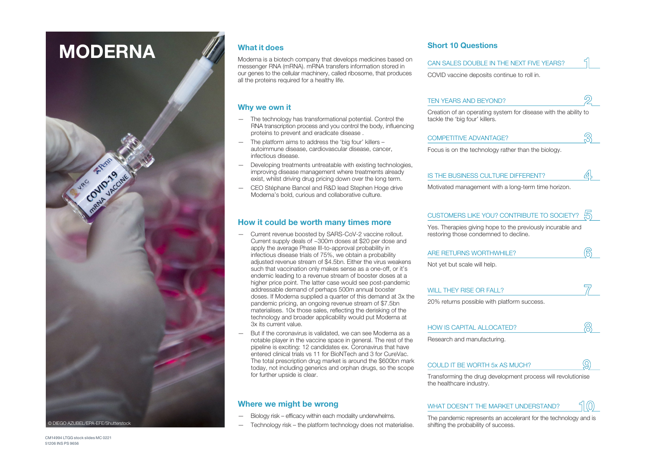# **MODERNA**



### **What it does**

Moderna is a biotech company that develops medicines based on messenger RNA (mRNA). mRNA transfers information stored in our genes to the cellular machinery, called ribosome, that produces all the proteins required for a healthy life.

### **Why we own it**

- The technology has transformational potential. Control the RNA transcription process and you control the body, influencing proteins to prevent and eradicate disease .
- The platform aims to address the 'big four' killers autoimmune disease, cardiovascular disease, cancer, infectious disease.
- Developing treatments untreatable with existing technologies, improving disease management where treatments already exist, whilst driving drug pricing down over the long term.
- CEO Stéphane Bancel and R&D lead Stephen Hoge drive Moderna's bold, curious and collaborative culture.

### **How it could be worth many times more**

- Current revenue boosted by SARS-CoV-2 vaccine rollout. Current supply deals of ~300m doses at \$20 per dose and apply the average Phase III-to-approval probability in infectious disease trials of 75%, we obtain a probability adjusted revenue stream of \$4.5bn. Either the virus weakens such that vaccination only makes sense as a one-off, or it's endemic leading to a revenue stream of booster doses at a higher price point. The latter case would see post-pandemic addressable demand of perhaps 500m annual booster doses. If Moderna supplied a quarter of this demand at 3x the pandemic pricing, an ongoing revenue stream of \$7.5bn materialises. 10x those sales, reflecting the derisking of the technology and broader applicability would put Moderna at 3x its current value.
- But if the coronavirus is validated, we can see Moderna as a notable player in the vaccine space in general. The rest of the pipeline is exciting: 12 candidates ex. Coronavirus that have entered clinical trials vs 11 for BioNTech and 3 for CureVac. The total prescription drug market is around the \$600bn mark today, not including generics and orphan drugs, so the scope for further upside is clear.

- Biology risk efficacy within each modality underwhelms.
- Technology risk the platform technology does not materialise.

### **Short 10 Questions**

| CAN SALES DOUBLE IN THE NEXT FIVE YEARS?    |  |
|---------------------------------------------|--|
| COVID vaccine deposits continue to roll in. |  |

| TEN YEARS AND BEYOND?                                                                             |  |
|---------------------------------------------------------------------------------------------------|--|
| Creation of an operating system for disease with the ability to<br>tackle the 'big four' killers. |  |

| <b>COMPETITIVE ADVANTAGE?</b> |  |
|-------------------------------|--|
|                               |  |

Focus is on the technology rather than the biology.

|  |  | IS THE BUSINESS CULTURE DIFFERENT? |  |
|--|--|------------------------------------|--|
|--|--|------------------------------------|--|

Motivated management with a long-term time horizon.

### CUSTOMERS LIKE YOU? CONTRIBUTE TO SOCIETY?

Yes. Therapies giving hope to the previously incurable and restoring those condemned to decline.

| ARE RETURNS WORTHWHILE? |  |
|-------------------------|--|
|                         |  |

Not yet but scale will help.

|               | WILL THEY RISE OR FALL? |  |  |  |  |  |  |  |
|---------------|-------------------------|--|--|--|--|--|--|--|
| $\frac{1}{2}$ |                         |  |  |  |  |  |  |  |

20% returns possible with platform success.

| <b>HOW IS CAPITAL ALLOCATED?</b> |  |
|----------------------------------|--|
|                                  |  |

Research and manufacturing.

#### COULD IT BE WORTH 5x AS MUCH?

Transforming the drug development process will revolutionise the healthcare industry.

#### **Where we might be wrong** WHAT DOESN'T THE MARKET UNDERSTAND?  $\P$   $\cap$

The pandemic represents an accelerant for the technology and is shifting the probability of success.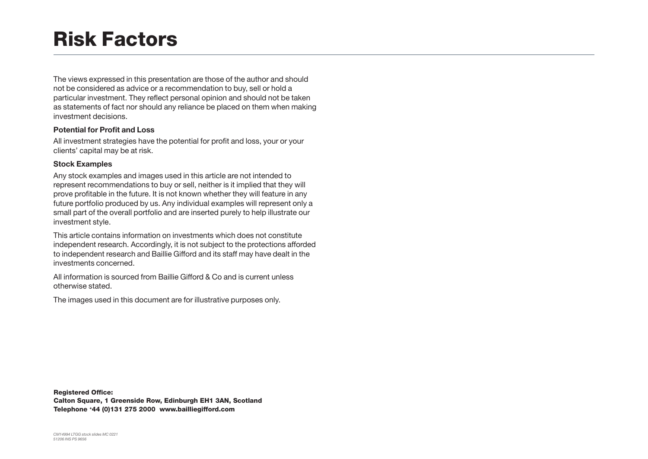### Risk Factors

The views expressed in this presentation are those of the author and should not be considered as advice or a recommendation to buy, sell or hold a particular investment. They reflect personal opinion and should not be taken as statements of fact nor should any reliance be placed on them when making investment decisions.

### **Potential for Profit and Loss**

All investment strategies have the potential for profit and loss, your or your clients' capital may be at risk.

### **Stock Examples**

Any stock examples and images used in this article are not intended to represent recommendations to buy or sell, neither is it implied that they will prove profitable in the future. It is not known whether they will feature in any future portfolio produced by us. Any individual examples will represent only a small part of the overall portfolio and are inserted purely to help illustrate our investment style.

This article contains information on investments which does not constitute independent research. Accordingly, it is not subject to the protections afforded to independent research and Baillie Gifford and its staff may have dealt in the investments concerned.

All information is sourced from Baillie Gifford & Co and is current unless otherwise stated.

The images used in this document are for illustrative purposes only.

Registered Office:

Calton Square, 1 Greenside Row, Edinburgh EH1 3AN, Scotland Telephone +44 (0)131 275 2000 www.bailliegifford.com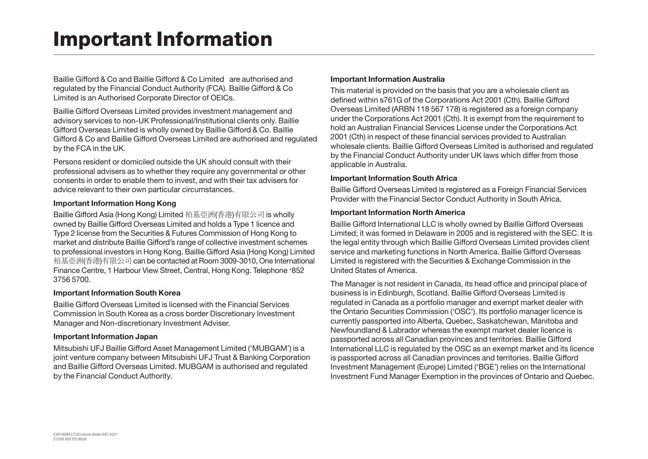## Important Information

Baillie Gifford & Co and Baillie Gifford & Co Limited are authorised and regulated by the Financial Conduct Authority (FCA). Baillie Gifford & Co Limited is an Authorised Corporate Director of OEICs.

Baillie Gifford Overseas Limited provides investment management and advisory services to non-UK Professional/Institutional clients only. Baillie Gifford Overseas Limited is wholly owned by Baillie Gifford & Co. Baillie Gifford & Co and Baillie Gifford Overseas Limited are authorised and regulated by the FCA in the UK.

Persons resident or domiciled outside the UK should consult with their professional advisers as to whether they require any governmental or other consents in order to enable them to invest, and with their tax advisers for advice relevant to their own particular circumstances.

### **Important Information Hong Kong**

Baillie Gifford Asia (Hong Kong) Limited 柏基亞洲(香港)有限公司 is wholly owned by Baillie Gifford Overseas Limited and holds a Type 1 licence and Type 2 license from the Securities & Futures Commission of Hong Kong to market and distribute Baillie Gifford's range of collective investment schemes to professional investors in Hong Kong. Baillie Gifford Asia (Hong Kong) Limited 柏基亞洲(香港)有限公司 can be contacted at Room 3009-3010, One International Finance Centre, 1 Harbour View Street, Central, Hong Kong. Telephone +852 3756 5700.

### **Important Information South Korea**

Baillie Gifford Overseas Limited is licensed with the Financial Services Commission in South Korea as a cross border Discretionary Investment Manager and Non-discretionary Investment Adviser.

### **Important Information Japan**

Mitsubishi UFJ Baillie Gifford Asset Management Limited ('MUBGAM') is a joint venture company between Mitsubishi UFJ Trust & Banking Corporation and Baillie Gifford Overseas Limited. MUBGAM is authorised and regulated by the Financial Conduct Authority.

### **Important Information Australia**

This material is provided on the basis that you are a wholesale client as defined within s761G of the Corporations Act 2001 (Cth). Baillie Gifford Overseas Limited (ARBN 118 567 178) is registered as a foreign company under the Corporations Act 2001 (Cth). It is exempt from the requirement to hold an Australian Financial Services License under the Corporations Act 2001 (Cth) in respect of these financial services provided to Australian wholesale clients. Baillie Gifford Overseas Limited is authorised and regulated by the Financial Conduct Authority under UK laws which differ from those applicable in Australia.

### **Important Information South Africa**

Baillie Gifford Overseas Limited is registered as a Foreign Financial Services Provider with the Financial Sector Conduct Authority in South Africa.

### **Important Information North America**

Baillie Gifford International LLC is wholly owned by Baillie Gifford Overseas Limited; it was formed in Delaware in 2005 and is registered with the SEC. It is the legal entity through which Baillie Gifford Overseas Limited provides client service and marketing functions in North America. Baillie Gifford Overseas Limited is registered with the Securities & Exchange Commission in the United States of America.

The Manager is not resident in Canada, its head office and principal place of business is in Edinburgh, Scotland. Baillie Gifford Overseas Limited is regulated in Canada as a portfolio manager and exempt market dealer with the Ontario Securities Commission ('OSC'). Its portfolio manager licence is currently passported into Alberta, Quebec, Saskatchewan, Manitoba and Newfoundland & Labrador whereas the exempt market dealer licence is passported across all Canadian provinces and territories. Baillie Gifford International LLC is regulated by the OSC as an exempt market and its licence is passported across all Canadian provinces and territories. Baillie Gifford Investment Management (Europe) Limited ('BGE') relies on the International Investment Fund Manager Exemption in the provinces of Ontario and Quebec.